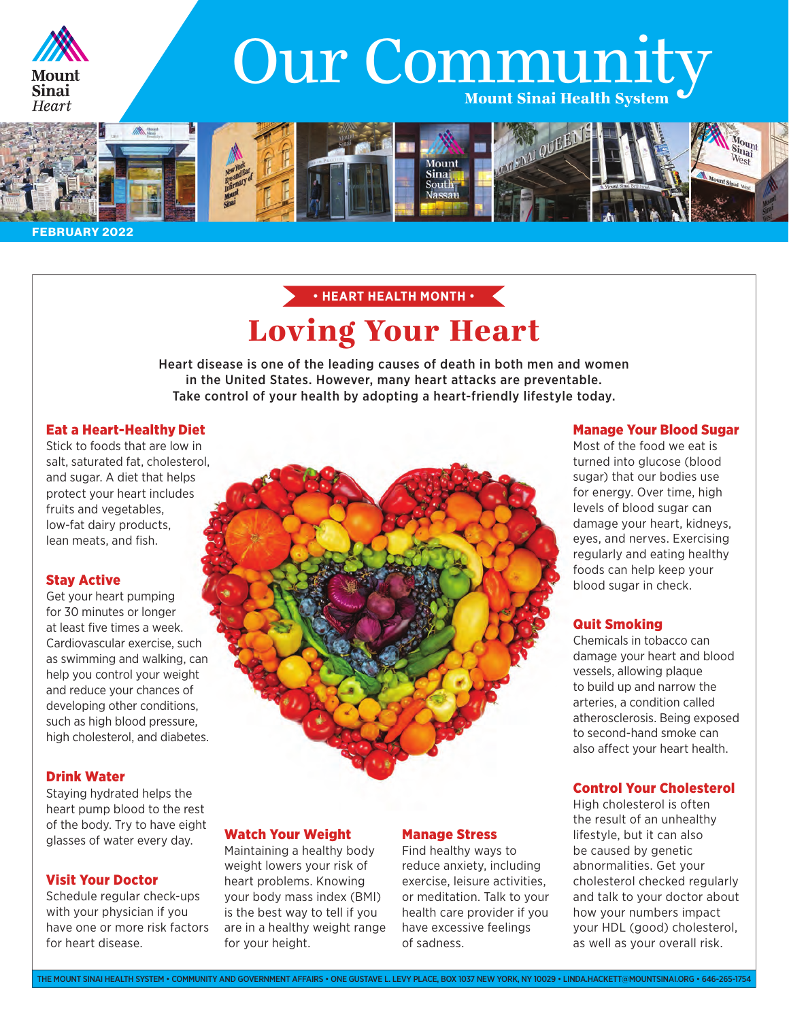

# Our Community



FEBRUARY 2022

### Loving Your Heart • **HEART HEALTH MONTH** •

Heart disease is one of the leading causes of death in both men and women in the United States. However, many heart attacks are preventable. Take control of your health by adopting a heart-friendly lifestyle today.

### Eat a Heart-Healthy Diet

Stick to foods that are low in salt, saturated fat, cholesterol, and sugar. A diet that helps protect your heart includes fruits and vegetables, low-fat dairy products, lean meats, and fish.

### Stay Active

Get your heart pumping for 30 minutes or longer at least five times a week. Cardiovascular exercise, such as swimming and walking, can help you control your weight and reduce your chances of developing other conditions, such as high blood pressure, high cholesterol, and diabetes.

### Drink Water

Staying hydrated helps the heart pump blood to the rest of the body. Try to have eight glasses of water every day.

### Visit Your Doctor

Schedule regular check-ups with your physician if you have one or more risk factors for heart disease.

### Watch Your Weight

Maintaining a healthy body weight lowers your risk of heart problems. Knowing your body mass index (BMI) is the best way to tell if you are in a healthy weight range for your height.

### Manage Stress

Find healthy ways to reduce anxiety, including exercise, leisure activities, or meditation. Talk to your health care provider if you have excessive feelings of sadness.

### Manage Your Blood Sugar

Most of the food we eat is turned into glucose (blood sugar) that our bodies use for energy. Over time, high levels of blood sugar can damage your heart, kidneys, eyes, and nerves. Exercising regularly and eating healthy foods can help keep your blood sugar in check.

### Quit Smoking

Chemicals in tobacco can damage your heart and blood vessels, allowing plaque to build up and narrow the arteries, a condition called atherosclerosis. Being exposed to second-hand smoke can also affect your heart health.

### Control Your Cholesterol

High cholesterol is often the result of an unhealthy lifestyle, but it can also be caused by genetic abnormalities. Get your cholesterol checked regularly and talk to your doctor about how your numbers impact your HDL (good) cholesterol, as well as your overall risk.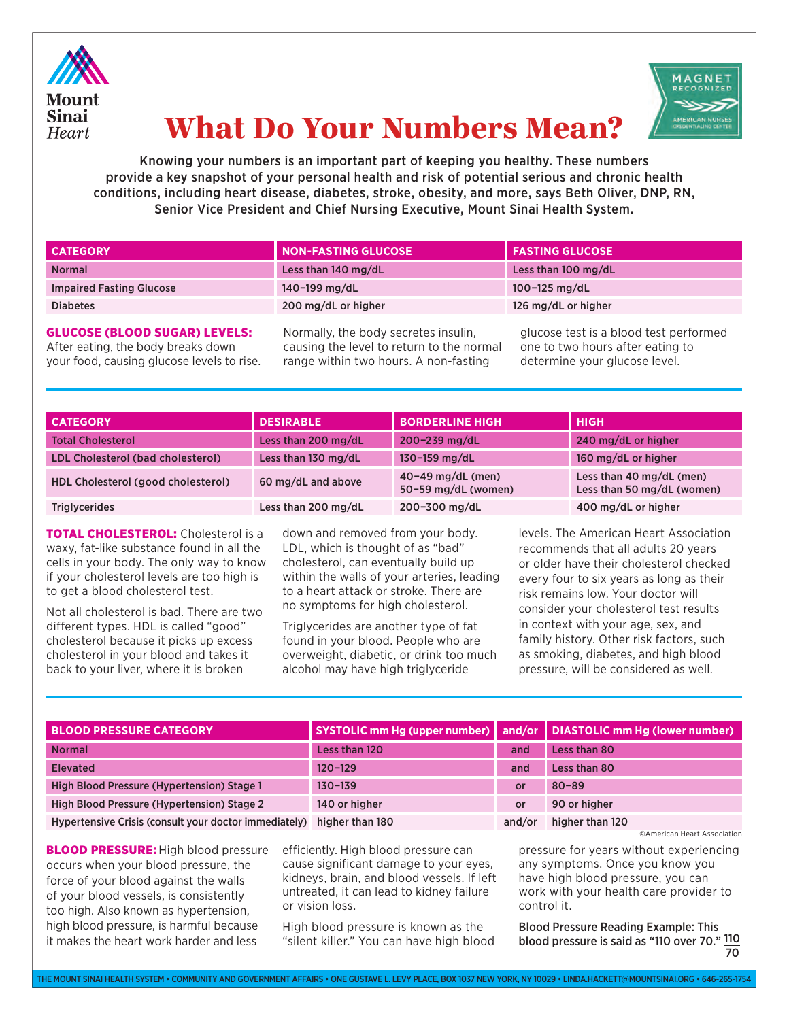



## What Do Your Numbers Mean?

Knowing your numbers is an important part of keeping you healthy. These numbers provide a key snapshot of your personal health and risk of potential serious and chronic health conditions, including heart disease, diabetes, stroke, obesity, and more, says Beth Oliver, DNP, RN, Senior Vice President and Chief Nursing Executive, Mount Sinai Health System.

| <b>CATEGORY</b>                 | <b>NON-FASTING GLUCOSE</b> | <b>FASTING GLUCOSE</b> |
|---------------------------------|----------------------------|------------------------|
| <b>Normal</b>                   | Less than 140 mg/dL        | Less than 100 mg/dL    |
| <b>Impaired Fasting Glucose</b> | 140-199 mg/dL              | 100-125 $mg/dL$        |
| <b>Diabetes</b>                 | 200 mg/dL or higher        | 126 mg/dL or higher    |

### GLUCOSE (BLOOD SUGAR) LEVELS:

After eating, the body breaks down your food, causing glucose levels to rise. Normally, the body secretes insulin, causing the level to return to the normal range within two hours. A non-fasting

glucose test is a blood test performed one to two hours after eating to determine your glucose level.

| <b>CATEGORY</b>                    | <b>DESIRABLE</b>    | <b>BORDERLINE HIGH</b>                       | <b>HIGH</b>                                            |
|------------------------------------|---------------------|----------------------------------------------|--------------------------------------------------------|
| <b>Total Cholesterol</b>           | Less than 200 mg/dL | 200-239 mg/dL                                | 240 mg/dL or higher                                    |
| LDL Cholesterol (bad cholesterol)  | Less than 130 mg/dL | 130-159 mg/dL                                | 160 mg/dL or higher                                    |
| HDL Cholesterol (good cholesterol) | 60 mg/dL and above  | $40 - 49$ mg/dL (men)<br>50-59 mg/dL (women) | Less than 40 mg/dL (men)<br>Less than 50 mg/dL (women) |
| <b>Triglycerides</b>               | Less than 200 mg/dL | 200-300 mg/dL                                | 400 mg/dL or higher                                    |

**TOTAL CHOLESTEROL:** Cholesterol is a waxy, fat-like substance found in all the cells in your body. The only way to know if your cholesterol levels are too high is to get a blood cholesterol test.

Not all cholesterol is bad. There are two different types. HDL is called "good" cholesterol because it picks up excess cholesterol in your blood and takes it back to your liver, where it is broken

down and removed from your body. LDL, which is thought of as "bad" cholesterol, can eventually build up within the walls of your arteries, leading to a heart attack or stroke. There are no symptoms for high cholesterol.

Triglycerides are another type of fat found in your blood. People who are overweight, diabetic, or drink too much alcohol may have high triglyceride

levels. The American Heart Association recommends that all adults 20 years or older have their cholesterol checked every four to six years as long as their risk remains low. Your doctor will consider your cholesterol test results in context with your age, sex, and family history. Other risk factors, such as smoking, diabetes, and high blood pressure, will be considered as well.

| <b>BLOOD PRESSURE CATEGORY</b>                        |                 |        | SYSTOLIC mm Hg (upper number) and/or   DIASTOLIC mm Hg (lower number) |
|-------------------------------------------------------|-----------------|--------|-----------------------------------------------------------------------|
| <b>Normal</b>                                         | Less than 120   | and    | Less than 80                                                          |
| <b>Elevated</b>                                       | $120 - 129$     | and    | Less than 80                                                          |
| High Blood Pressure (Hypertension) Stage 1            | $130 - 139$     | or     | $80 - 89$                                                             |
| High Blood Pressure (Hypertension) Stage 2            | 140 or higher   | or     | 90 or higher                                                          |
| Hypertensive Crisis (consult your doctor immediately) | higher than 180 | and/or | higher than 120                                                       |

**BLOOD PRESSURE:** High blood pressure occurs when your blood pressure, the force of your blood against the walls of your blood vessels, is consistently too high. Also known as hypertension, high blood pressure, is harmful because it makes the heart work harder and less wisilent killer." You can have high blood wallood pressure is said as "110 over 70."  $\underline{110}$ 

efficiently. High blood pressure can cause significant damage to your eyes, kidneys, brain, and blood vessels. If left untreated, it can lead to kidney failure or vision loss.

High blood pressure is known as the "silent killer." You can have high blood ©American Heart Association

pressure for years without experiencing any symptoms. Once you know you have high blood pressure, you can work with your health care provider to control it.

 70 Blood Pressure Reading Example: This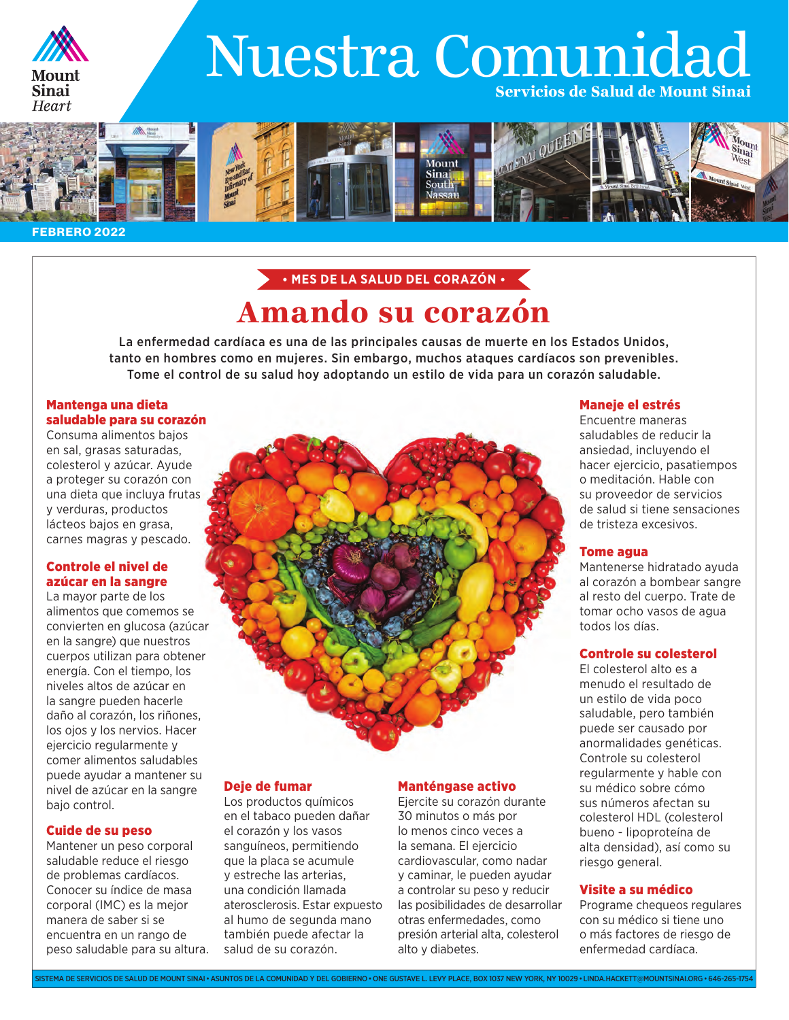

# Nuestra Comunidad Servicios de Salud de Mount Sinai



#### FEBRERO 2022

### Amando su corazón • **MES DE LA SALUD DEL CORAZÓN** •

La enfermedad cardíaca es una de las principales causas de muerte en los Estados Unidos, tanto en hombres como en mujeres. Sin embargo, muchos ataques cardíacos son prevenibles. Tome el control de su salud hoy adoptando un estilo de vida para un corazón saludable.

### Mantenga una dieta saludable para su corazón

Consuma alimentos bajos en sal, grasas saturadas, colesterol y azúcar. Ayude a proteger su corazón con una dieta que incluya frutas y verduras, productos lácteos bajos en grasa, carnes magras y pescado.

### Controle el nivel de azúcar en la sangre

La mayor parte de los alimentos que comemos se convierten en glucosa (azúcar en la sangre) que nuestros cuerpos utilizan para obtener energía. Con el tiempo, los niveles altos de azúcar en la sangre pueden hacerle daño al corazón, los riñones, los ojos y los nervios. Hacer ejercicio regularmente y comer alimentos saludables puede ayudar a mantener su nivel de azúcar en la sangre bajo control.

### Cuide de su peso

Mantener un peso corporal saludable reduce el riesgo de problemas cardíacos. Conocer su índice de masa corporal (IMC) es la mejor manera de saber si se encuentra en un rango de peso saludable para su altura.

### Deje de fumar

Los productos químicos en el tabaco pueden dañar el corazón y los vasos sanguíneos, permitiendo que la placa se acumule y estreche las arterias, una condición llamada aterosclerosis. Estar expuesto al humo de segunda mano también puede afectar la salud de su corazón.

### Manténgase activo

Ejercite su corazón durante 30 minutos o más por lo menos cinco veces a la semana. El ejercicio cardiovascular, como nadar y caminar, le pueden ayudar a controlar su peso y reducir las posibilidades de desarrollar otras enfermedades, como presión arterial alta, colesterol alto y diabetes.

### Maneje el estrés

Encuentre maneras saludables de reducir la ansiedad, incluyendo el hacer ejercicio, pasatiempos o meditación. Hable con su proveedor de servicios de salud si tiene sensaciones de tristeza excesivos.

### Tome agua

Mantenerse hidratado ayuda al corazón a bombear sangre al resto del cuerpo. Trate de tomar ocho vasos de agua todos los días.

### Controle su colesterol

El colesterol alto es a menudo el resultado de un estilo de vida poco saludable, pero también puede ser causado por anormalidades genéticas. Controle su colesterol regularmente y hable con su médico sobre cómo sus números afectan su colesterol HDL (colesterol bueno - lipoproteína de alta densidad), así como su riesgo general.

### Visite a su médico

Programe chequeos regulares con su médico si tiene uno o más factores de riesgo de enfermedad cardíaca.